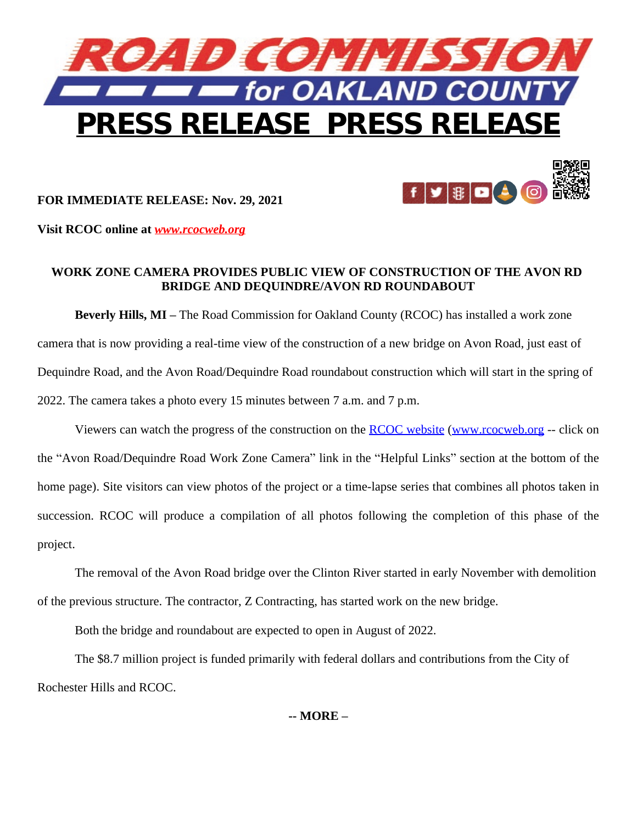



**FOR IMMEDIATE RELEASE: Nov. 29, 2021** 

**Visit RCOC online at** *[www.rcocweb.org](http://www.rcocweb.org)*

## **WORK ZONE CAMERA PROVIDES PUBLIC VIEW OF CONSTRUCTION OF THE AVON RD BRIDGE AND DEQUINDRE/AVON RD ROUNDABOUT**

**Beverly Hills, MI –** The Road Commission for Oakland County (RCOC) has installed a work zone camera that is now providing a real-time view of the construction of a new bridge on Avon Road, just east of Dequindre Road, and the Avon Road/Dequindre Road roundabout construction which will start in the spring of 2022. The camera takes a photo every 15 minutes between 7 a.m. and 7 p.m.

Viewers can watch the progress of the construction on the [RCOC website](http://www.rcocweb.org/) ([www.rcocweb.org](http://www.rcocweb.org) -- click on the "Avon Road/Dequindre Road Work Zone Camera" link in the "Helpful Links" section at the bottom of the home page). Site visitors can view photos of the project or a time-lapse series that combines all photos taken in succession. RCOC will produce a compilation of all photos following the completion of this phase of the project.

The removal of the Avon Road bridge over the Clinton River started in early November with demolition of the previous structure. The contractor, Z Contracting, has started work on the new bridge.

Both the bridge and roundabout are expected to open in August of 2022.

The \$8.7 million project is funded primarily with federal dollars and contributions from the City of Rochester Hills and RCOC.

**-- MORE –**